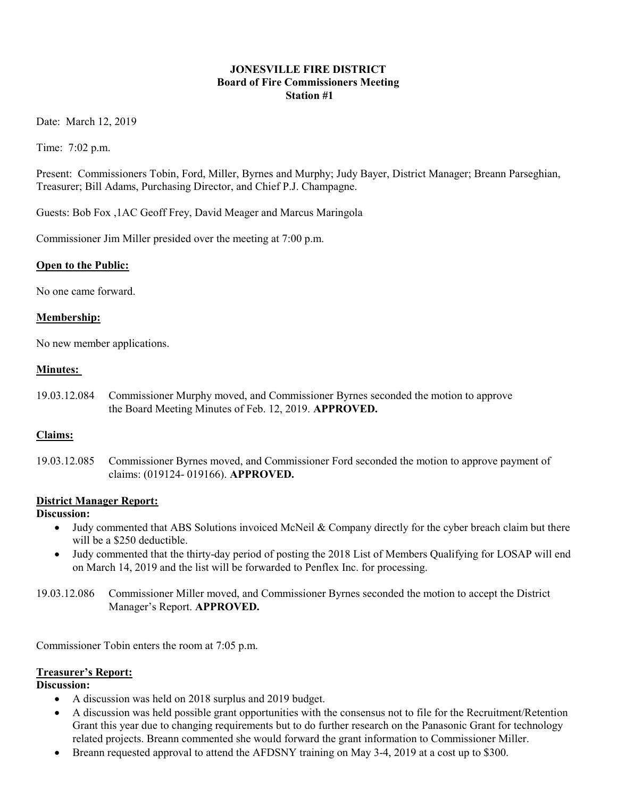### JONESVILLE FIRE DISTRICT Board of Fire Commissioners Meeting Station #1

Date: March 12, 2019

Time: 7:02 p.m.

Present: Commissioners Tobin, Ford, Miller, Byrnes and Murphy; Judy Bayer, District Manager; Breann Parseghian, Treasurer; Bill Adams, Purchasing Director, and Chief P.J. Champagne.

Guests: Bob Fox ,1AC Geoff Frey, David Meager and Marcus Maringola

Commissioner Jim Miller presided over the meeting at 7:00 p.m.

### Open to the Public:

No one came forward.

### Membership:

No new member applications.

### Minutes:

19.03.12.084 Commissioner Murphy moved, and Commissioner Byrnes seconded the motion to approve the Board Meeting Minutes of Feb. 12, 2019. APPROVED.

### Claims:

19.03.12.085 Commissioner Byrnes moved, and Commissioner Ford seconded the motion to approve payment of claims: (019124- 019166). APPROVED.

### District Manager Report:

### Discussion:

- Judy commented that ABS Solutions invoiced McNeil & Company directly for the cyber breach claim but there will be a \$250 deductible.
- Judy commented that the thirty-day period of posting the 2018 List of Members Qualifying for LOSAP will end on March 14, 2019 and the list will be forwarded to Penflex Inc. for processing.

19.03.12.086 Commissioner Miller moved, and Commissioner Byrnes seconded the motion to accept the District Manager's Report. APPROVED.

Commissioner Tobin enters the room at 7:05 p.m.

### Treasurer's Report:

### Discussion:

- A discussion was held on 2018 surplus and 2019 budget.
- A discussion was held possible grant opportunities with the consensus not to file for the Recruitment/Retention Grant this year due to changing requirements but to do further research on the Panasonic Grant for technology related projects. Breann commented she would forward the grant information to Commissioner Miller.
- Breann requested approval to attend the AFDSNY training on May 3-4, 2019 at a cost up to \$300.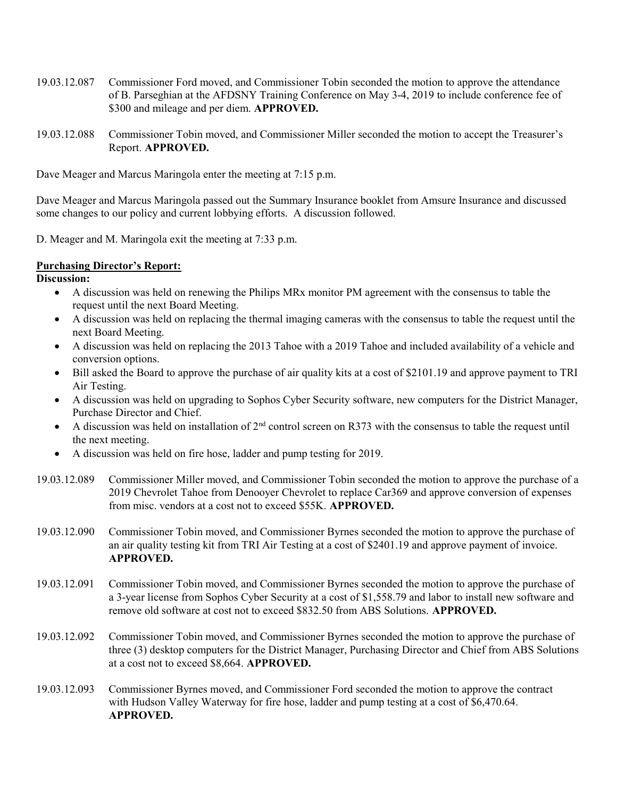- 19.03.12.087 Commissioner Ford moved, and Commissioner Tobin seconded the motion to approve the attendance of B. Parseghian at the AFDSNY Training Conference on May 3-4, 2019 to include conference fee of \$300 and mileage and per diem. APPROVED.
- 19.03.12.088 Commissioner Tobin moved, and Commissioner Miller seconded the motion to accept the Treasurer's Report. APPROVED.

Dave Meager and Marcus Maringola enter the meeting at 7:15 p.m.

Dave Meager and Marcus Maringola passed out the Summary Insurance booklet from Amsure Insurance and discussed some changes to our policy and current lobbying efforts. A discussion followed.

D. Meager and M. Maringola exit the meeting at 7:33 p.m.

#### Purchasing Director's Report:

Discussion:

- A discussion was held on renewing the Philips MRx monitor PM agreement with the consensus to table the request until the next Board Meeting.
- A discussion was held on replacing the thermal imaging cameras with the consensus to table the request until the next Board Meeting.
- A discussion was held on replacing the 2013 Tahoe with a 2019 Tahoe and included availability of a vehicle and conversion options.
- Bill asked the Board to approve the purchase of air quality kits at a cost of \$2101.19 and approve payment to TRI Air Testing.
- A discussion was held on upgrading to Sophos Cyber Security software, new computers for the District Manager, Purchase Director and Chief.
- A discussion was held on installation of 2<sup>nd</sup> control screen on R373 with the consensus to table the request until the next meeting.
- A discussion was held on fire hose, ladder and pump testing for 2019.
- 19.03.12.089 Commissioner Miller moved, and Commissioner Tobin seconded the motion to approve the purchase of a 2019 Chevrolet Tahoe from Denooyer Chevrolet to replace Car369 and approve conversion of expenses from misc. vendors at a cost not to exceed \$55K. APPROVED.
- 19.03.12.090 Commissioner Tobin moved, and Commissioner Byrnes seconded the motion to approve the purchase of an air quality testing kit from TRI Air Testing at a cost of \$2401.19 and approve payment of invoice. APPROVED.
- 19.03.12.091 Commissioner Tobin moved, and Commissioner Byrnes seconded the motion to approve the purchase of a 3-year license from Sophos Cyber Security at a cost of \$1,558.79 and labor to install new software and remove old software at cost not to exceed \$832.50 from ABS Solutions. APPROVED.
- 19.03.12.092 Commissioner Tobin moved, and Commissioner Byrnes seconded the motion to approve the purchase of three (3) desktop computers for the District Manager, Purchasing Director and Chief from ABS Solutions at a cost not to exceed \$8,664. APPROVED.
- 19.03.12.093 Commissioner Byrnes moved, and Commissioner Ford seconded the motion to approve the contract with Hudson Valley Waterway for fire hose, ladder and pump testing at a cost of \$6,470.64. APPROVED.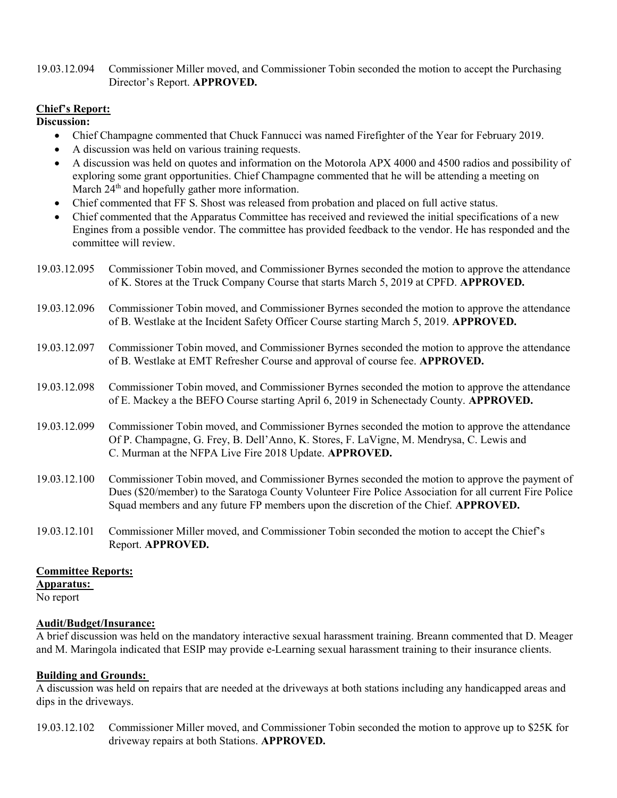### 19.03.12.094 Commissioner Miller moved, and Commissioner Tobin seconded the motion to accept the Purchasing Director's Report. APPROVED.

### Chief's Report:

Discussion:

- Chief Champagne commented that Chuck Fannucci was named Firefighter of the Year for February 2019.
- A discussion was held on various training requests.
- A discussion was held on quotes and information on the Motorola APX 4000 and 4500 radios and possibility of exploring some grant opportunities. Chief Champagne commented that he will be attending a meeting on March 24<sup>th</sup> and hopefully gather more information.
- Chief commented that FF S. Shost was released from probation and placed on full active status.
- Chief commented that the Apparatus Committee has received and reviewed the initial specifications of a new Engines from a possible vendor. The committee has provided feedback to the vendor. He has responded and the committee will review.
- 19.03.12.095 Commissioner Tobin moved, and Commissioner Byrnes seconded the motion to approve the attendance of K. Stores at the Truck Company Course that starts March 5, 2019 at CPFD. APPROVED.
- 19.03.12.096 Commissioner Tobin moved, and Commissioner Byrnes seconded the motion to approve the attendance of B. Westlake at the Incident Safety Officer Course starting March 5, 2019. APPROVED.
- 19.03.12.097 Commissioner Tobin moved, and Commissioner Byrnes seconded the motion to approve the attendance of B. Westlake at EMT Refresher Course and approval of course fee. APPROVED.
- 19.03.12.098 Commissioner Tobin moved, and Commissioner Byrnes seconded the motion to approve the attendance of E. Mackey a the BEFO Course starting April 6, 2019 in Schenectady County. APPROVED.
- 19.03.12.099 Commissioner Tobin moved, and Commissioner Byrnes seconded the motion to approve the attendance Of P. Champagne, G. Frey, B. Dell'Anno, K. Stores, F. LaVigne, M. Mendrysa, C. Lewis and C. Murman at the NFPA Live Fire 2018 Update. APPROVED.
- 19.03.12.100 Commissioner Tobin moved, and Commissioner Byrnes seconded the motion to approve the payment of Dues (\$20/member) to the Saratoga County Volunteer Fire Police Association for all current Fire Police Squad members and any future FP members upon the discretion of the Chief. APPROVED.
- 19.03.12.101 Commissioner Miller moved, and Commissioner Tobin seconded the motion to accept the Chief's Report. APPROVED.

### Committee Reports:

Apparatus:

No report

### Audit/Budget/Insurance:

A brief discussion was held on the mandatory interactive sexual harassment training. Breann commented that D. Meager and M. Maringola indicated that ESIP may provide e-Learning sexual harassment training to their insurance clients.

### Building and Grounds:

A discussion was held on repairs that are needed at the driveways at both stations including any handicapped areas and dips in the driveways.

19.03.12.102 Commissioner Miller moved, and Commissioner Tobin seconded the motion to approve up to \$25K for driveway repairs at both Stations. APPROVED.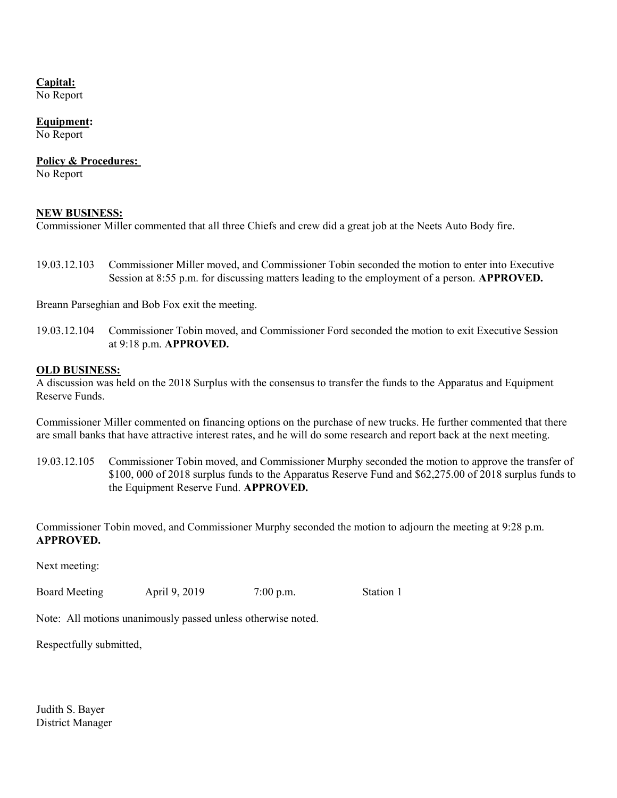## Capital:

No Report

### Equipment:

No Report

#### Policy & Procedures:

No Report

### NEW BUSINESS:

Commissioner Miller commented that all three Chiefs and crew did a great job at the Neets Auto Body fire.

19.03.12.103 Commissioner Miller moved, and Commissioner Tobin seconded the motion to enter into Executive Session at 8:55 p.m. for discussing matters leading to the employment of a person. **APPROVED.** 

Breann Parseghian and Bob Fox exit the meeting.

19.03.12.104 Commissioner Tobin moved, and Commissioner Ford seconded the motion to exit Executive Session at 9:18 p.m. APPROVED.

#### OLD BUSINESS:

A discussion was held on the 2018 Surplus with the consensus to transfer the funds to the Apparatus and Equipment Reserve Funds.

Commissioner Miller commented on financing options on the purchase of new trucks. He further commented that there are small banks that have attractive interest rates, and he will do some research and report back at the next meeting.

19.03.12.105 Commissioner Tobin moved, and Commissioner Murphy seconded the motion to approve the transfer of \$100, 000 of 2018 surplus funds to the Apparatus Reserve Fund and \$62,275.00 of 2018 surplus funds to the Equipment Reserve Fund. APPROVED.

Commissioner Tobin moved, and Commissioner Murphy seconded the motion to adjourn the meeting at 9:28 p.m. APPROVED.

Next meeting:

Board Meeting April 9, 2019 7:00 p.m. Station 1

Note: All motions unanimously passed unless otherwise noted.

Respectfully submitted,

Judith S. Bayer District Manager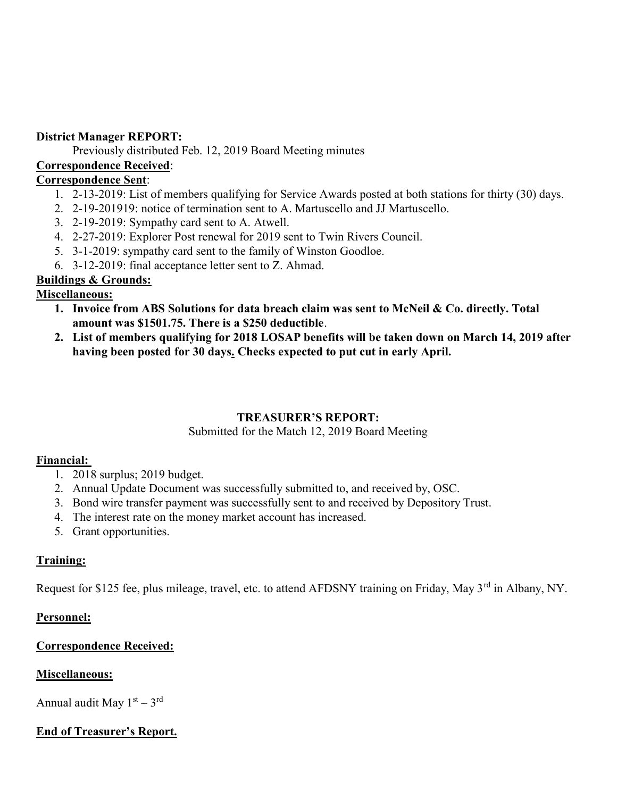# District Manager REPORT:

Previously distributed Feb. 12, 2019 Board Meeting minutes

# Correspondence Received:

# Correspondence Sent:

- 1. 2-13-2019: List of members qualifying for Service Awards posted at both stations for thirty (30) days.
- 2. 2-19-201919: notice of termination sent to A. Martuscello and JJ Martuscello.
- 3. 2-19-2019: Sympathy card sent to A. Atwell.
- 4. 2-27-2019: Explorer Post renewal for 2019 sent to Twin Rivers Council.
- 5. 3-1-2019: sympathy card sent to the family of Winston Goodloe.
- 6. 3-12-2019: final acceptance letter sent to Z. Ahmad.

# Buildings & Grounds:

# Miscellaneous:

- 1. Invoice from ABS Solutions for data breach claim was sent to McNeil & Co. directly. Total amount was \$1501.75. There is a \$250 deductible.
- 2. List of members qualifying for 2018 LOSAP benefits will be taken down on March 14, 2019 after having been posted for 30 days. Checks expected to put cut in early April.

# TREASURER'S REPORT:

# Submitted for the Match 12, 2019 Board Meeting

# Financial:

- 1. 2018 surplus; 2019 budget.
- 2. Annual Update Document was successfully submitted to, and received by, OSC.
- 3. Bond wire transfer payment was successfully sent to and received by Depository Trust.
- 4. The interest rate on the money market account has increased.
- 5. Grant opportunities.

# Training:

Request for \$125 fee, plus mileage, travel, etc. to attend AFDSNY training on Friday, May 3<sup>rd</sup> in Albany, NY.

# Personnel:

# Correspondence Received:

# Miscellaneous:

Annual audit May  $1<sup>st</sup> - 3<sup>rd</sup>$ 

# End of Treasurer's Report.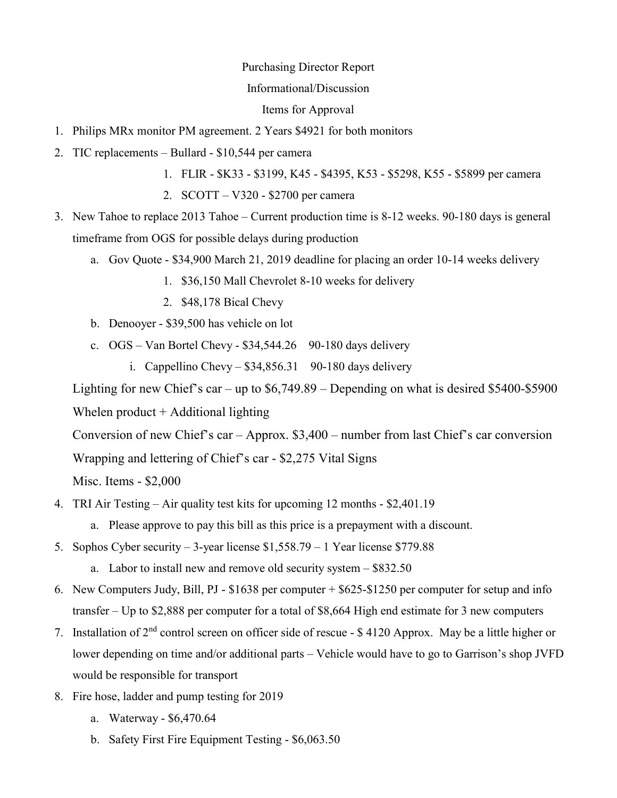### Purchasing Director Report

### Informational/Discussion

Items for Approval

- 1. Philips MRx monitor PM agreement. 2 Years \$4921 for both monitors
- 2. TIC replacements Bullard \$10,544 per camera
	- 1. FLIR \$K33 \$3199, K45 \$4395, K53 \$5298, K55 \$5899 per camera
	- 2. SCOTT V320 \$2700 per camera
- 3. New Tahoe to replace 2013 Tahoe Current production time is 8-12 weeks. 90-180 days is general timeframe from OGS for possible delays during production
	- a. Gov Quote \$34,900 March 21, 2019 deadline for placing an order 10-14 weeks delivery
		- 1. \$36,150 Mall Chevrolet 8-10 weeks for delivery
		- 2. \$48,178 Bical Chevy
	- b. Denooyer \$39,500 has vehicle on lot
	- c.  $OGS Van Bortel Chevy $34,544.26$  90-180 days delivery
		- i. Cappellino Chevy  $$34,856.31$  90-180 days delivery

Lighting for new Chief's car – up to \$6,749.89 – Depending on what is desired \$5400-\$5900

Whelen product  $+$  Additional lighting

Conversion of new Chief's car – Approx. \$3,400 – number from last Chief's car conversion

Wrapping and lettering of Chief's car - \$2,275 Vital Signs

Misc. Items - \$2,000

- 4. TRI Air Testing Air quality test kits for upcoming 12 months \$2,401.19
	- a. Please approve to pay this bill as this price is a prepayment with a discount.
- 5. Sophos Cyber security 3-year license \$1,558.79 1 Year license \$779.88
	- a. Labor to install new and remove old security system \$832.50
- 6. New Computers Judy, Bill, PJ \$1638 per computer + \$625-\$1250 per computer for setup and info transfer – Up to \$2,888 per computer for a total of \$8,664 High end estimate for 3 new computers
- 7. Installation of 2nd control screen on officer side of rescue \$ 4120 Approx. May be a little higher or lower depending on time and/or additional parts – Vehicle would have to go to Garrison's shop JVFD would be responsible for transport
- 8. Fire hose, ladder and pump testing for 2019
	- a. Waterway \$6,470.64
	- b. Safety First Fire Equipment Testing \$6,063.50